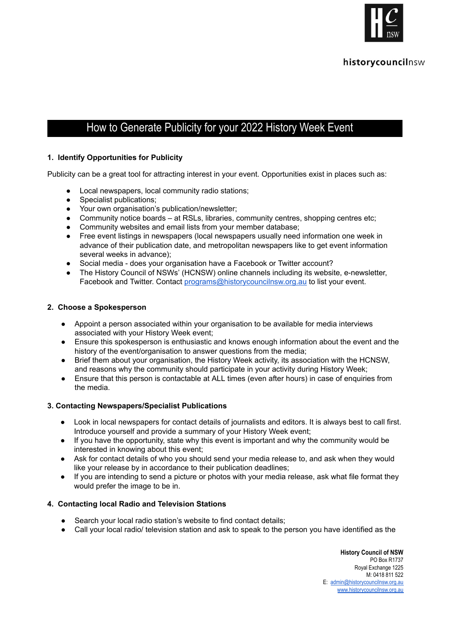

# How to Generate Publicity for your 2022 History Week Event

# **1. Identify Opportunities for Publicity**

Publicity can be a great tool for attracting interest in your event. Opportunities exist in places such as:

- Local newspapers, local community radio stations;
- Specialist publications;
- Your own organisation's publication/newsletter;
- Community notice boards at RSLs, libraries, community centres, shopping centres etc;
- Community websites and email lists from your member database;
- Free event listings in newspapers (local newspapers usually need information one week in advance of their publication date, and metropolitan newspapers like to get event information several weeks in advance);
- Social media does your organisation have a Facebook or Twitter account?
- The History Council of NSWs' (HCNSW) online channels including its website, e-newsletter, Facebook and Twitter. Contact [programs@historycouncilnsw.org.au](mailto:programs@historycouncilnsw.org.au) to list your event.

#### **2. Choose a Spokesperson**

- Appoint a person associated within your organisation to be available for media interviews associated with your History Week event;
- Ensure this spokesperson is enthusiastic and knows enough information about the event and the history of the event/organisation to answer questions from the media;
- Brief them about your organisation, the History Week activity, its association with the HCNSW, and reasons why the community should participate in your activity during History Week;
- Ensure that this person is contactable at ALL times (even after hours) in case of enquiries from the media.

## **3. Contacting Newspapers/Specialist Publications**

- Look in local newspapers for contact details of journalists and editors. It is always best to call first. Introduce yourself and provide a summary of your History Week event;
- If you have the opportunity, state why this event is important and why the community would be interested in knowing about this event;
- Ask for contact details of who you should send your media release to, and ask when they would like your release by in accordance to their publication deadlines;
- If you are intending to send a picture or photos with your media release, ask what file format they would prefer the image to be in.

#### **4. Contacting local Radio and Television Stations**

- Search your local radio station's website to find contact details;
- Call your local radio/ television station and ask to speak to the person you have identified as the

**History Council of NSW** PO Box R1737 Royal Exchange 1225 M: 0418 811 522 E: [admin@historycouncilnsw.org.au](mailto:admin@historycouncilnsw.org.au) [www.historycouncilnsw.org.au](http://www.historycouncilnsw.org.au/)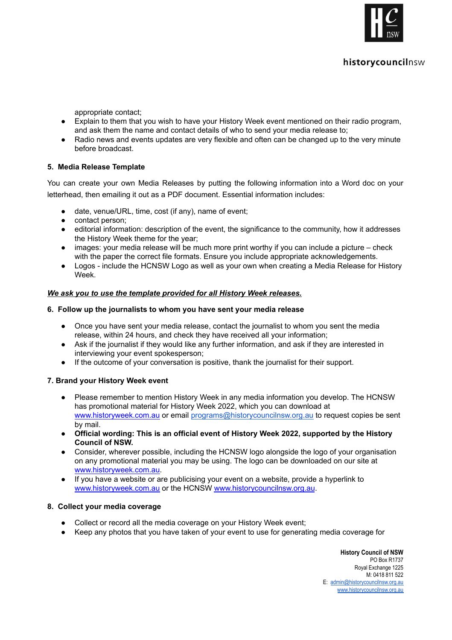

# historycouncilnsw

appropriate contact;

- Explain to them that you wish to have your History Week event mentioned on their radio program, and ask them the name and contact details of who to send your media release to;
- Radio news and events updates are very flexible and often can be changed up to the very minute before broadcast.

## **5. Media Release Template**

You can create your own Media Releases by putting the following information into a Word doc on your letterhead, then emailing it out as a PDF document. Essential information includes:

- date, venue/URL, time, cost (if any), name of event;
- contact person;
- editorial information: description of the event, the significance to the community, how it addresses the History Week theme for the year;
- images: your media release will be much more print worthy if you can include a picture check with the paper the correct file formats. Ensure you include appropriate acknowledgements.
- Logos include the HCNSW Logo as well as your own when creating a Media Release for History Week.

#### *We ask you to use the template provided for all History Week releases.*

#### **6. Follow up the journalists to whom you have sent your media release**

- Once you have sent your media release, contact the journalist to whom you sent the media release, within 24 hours, and check they have received all your information;
- Ask if the journalist if they would like any further information, and ask if they are interested in interviewing your event spokesperson;
- If the outcome of your conversation is positive, thank the journalist for their support.

## **7. Brand your History Week event**

- Please remember to mention History Week in any media information you develop. The HCNSW has promotional material for History Week 2022, which you can download at [www.historyweek.com.au](http://www.historyweek.com.au/) or email [programs@historycouncilnsw.org.au](mailto:programs@historycouncilnsw.org.au) to request copies be sent by mail.
- **● Official wording: This is an official event of History Week 2022, supported by the History Council of NSW.**
- Consider, wherever possible, including the HCNSW logo alongside the logo of your organisation on any promotional material you may be using. The logo can be downloaded on our site at [www.historyweek.com.au.](http://www.historyweek.com.au/)
- If you have a website or are publicising your event on a website, provide a hyperlink to [www.historyweek.com.au](http://www.historyweek.com.au/) or the HCNSW [www.historycouncilnsw.org.au](http://www.historycouncilnsw.org.au/).

## **8. Collect your media coverage**

- Collect or record all the media coverage on your History Week event;
- Keep any photos that you have taken of your event to use for generating media coverage for

**History Council of NSW** PO Box R1737 Royal Exchange 1225 M: 0418 811 522 E: [admin@historycouncilnsw.org.au](mailto:admin@historycouncilnsw.org.au) [www.historycouncilnsw.org.au](http://www.historycouncilnsw.org.au/)